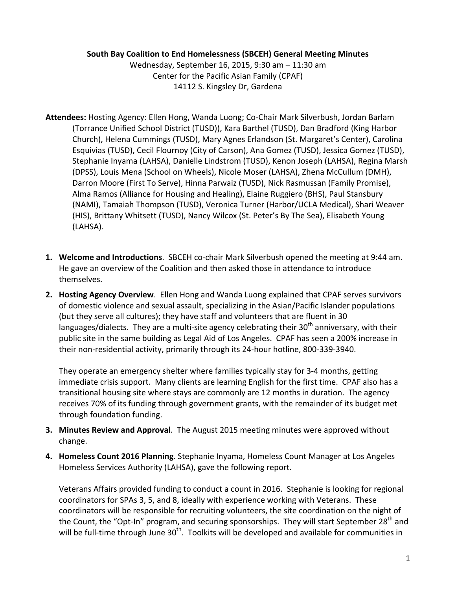## **South Bay Coalition to End Homelessness (SBCEH) General Meeting Minutes**

Wednesday, September 16, 2015, 9:30 am - 11:30 am Center for the Pacific Asian Family (CPAF) 14112 S. Kingsley Dr, Gardena

- Attendees: Hosting Agency: Ellen Hong, Wanda Luong; Co-Chair Mark Silverbush, Jordan Barlam (Torrance Unified School District (TUSD)), Kara Barthel (TUSD), Dan Bradford (King Harbor Church), Helena Cummings (TUSD), Mary Agnes Erlandson (St. Margaret's Center), Carolina Esquivias (TUSD), Cecil Flournoy (City of Carson), Ana Gomez (TUSD), Jessica Gomez (TUSD), Stephanie Inyama (LAHSA), Danielle Lindstrom (TUSD), Kenon Joseph (LAHSA), Regina Marsh (DPSS), Louis Mena (School on Wheels), Nicole Moser (LAHSA), Zhena McCullum (DMH), Darron Moore (First To Serve), Hinna Parwaiz (TUSD), Nick Rasmussan (Family Promise), Alma Ramos (Alliance for Housing and Healing), Elaine Ruggiero (BHS), Paul Stansbury (NAMI), Tamaiah Thompson (TUSD), Veronica Turner (Harbor/UCLA Medical), Shari Weaver (HIS), Brittany Whitsett (TUSD), Nancy Wilcox (St. Peter's By The Sea), Elisabeth Young (LAHSA).
- **1.** Welcome and Introductions. SBCEH co-chair Mark Silverbush opened the meeting at 9:44 am. He gave an overview of the Coalition and then asked those in attendance to introduce themselves.
- **2. Hosting Agency Overview**. Ellen Hong and Wanda Luong explained that CPAF serves survivors of domestic violence and sexual assault, specializing in the Asian/Pacific Islander populations (but they serve all cultures); they have staff and volunteers that are fluent in 30 languages/dialects. They are a multi-site agency celebrating their 30<sup>th</sup> anniversary, with their public site in the same building as Legal Aid of Los Angeles. CPAF has seen a 200% increase in their non-residential activity, primarily through its 24-hour hotline, 800-339-3940.

They operate an emergency shelter where families typically stay for 3-4 months, getting immediate crisis support. Many clients are learning English for the first time. CPAF also has a transitional housing site where stays are commonly are 12 months in duration. The agency receives 70% of its funding through government grants, with the remainder of its budget met through foundation funding.

- **3. Minutes Review and Approval**. The August 2015 meeting minutes were approved without change.
- **4. Homeless Count 2016 Planning**. Stephanie Inyama, Homeless Count Manager at Los Angeles Homeless Services Authority (LAHSA), gave the following report.

Veterans Affairs provided funding to conduct a count in 2016. Stephanie is looking for regional coordinators for SPAs 3, 5, and 8, ideally with experience working with Veterans. These coordinators will be responsible for recruiting volunteers, the site coordination on the night of the Count, the "Opt-In" program, and securing sponsorships. They will start September 28<sup>th</sup> and will be full-time through June  $30<sup>th</sup>$ . Toolkits will be developed and available for communities in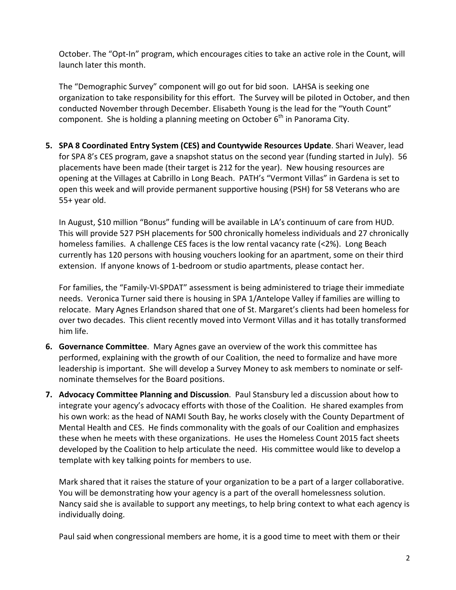October. The "Opt-In" program, which encourages cities to take an active role in the Count, will launch later this month.

The "Demographic Survey" component will go out for bid soon. LAHSA is seeking one organization to take responsibility for this effort. The Survey will be piloted in October, and then conducted November through December. Elisabeth Young is the lead for the "Youth Count" component. She is holding a planning meeting on October  $6<sup>th</sup>$  in Panorama City.

**5. SPA 8 Coordinated Entry System (CES) and Countywide Resources Update**. Shari Weaver, lead for SPA 8's CES program, gave a snapshot status on the second year (funding started in July).  $56$ placements have been made (their target is 212 for the year). New housing resources are opening at the Villages at Cabrillo in Long Beach. PATH's "Vermont Villas" in Gardena is set to open this week and will provide permanent supportive housing (PSH) for 58 Veterans who are 55+ year old.

In August, \$10 million "Bonus" funding will be available in LA's continuum of care from HUD. This will provide 527 PSH placements for 500 chronically homeless individuals and 27 chronically homeless families. A challenge CES faces is the low rental vacancy rate  $(<2\%)$ . Long Beach currently has 120 persons with housing vouchers looking for an apartment, some on their third extension. If anyone knows of 1-bedroom or studio apartments, please contact her.

For families, the "Family-VI-SPDAT" assessment is being administered to triage their immediate needs. Veronica Turner said there is housing in SPA 1/Antelope Valley if families are willing to relocate. Mary Agnes Erlandson shared that one of St. Margaret's clients had been homeless for over two decades. This client recently moved into Vermont Villas and it has totally transformed him life.

- **6.** Governance Committee. Mary Agnes gave an overview of the work this committee has performed, explaining with the growth of our Coalition, the need to formalize and have more leadership is important. She will develop a Survey Money to ask members to nominate or selfnominate themselves for the Board positions.
- **7.** Advocacy Committee Planning and Discussion. Paul Stansbury led a discussion about how to integrate your agency's advocacy efforts with those of the Coalition. He shared examples from his own work: as the head of NAMI South Bay, he works closely with the County Department of Mental Health and CES. He finds commonality with the goals of our Coalition and emphasizes these when he meets with these organizations. He uses the Homeless Count 2015 fact sheets developed by the Coalition to help articulate the need. His committee would like to develop a template with key talking points for members to use.

Mark shared that it raises the stature of your organization to be a part of a larger collaborative. You will be demonstrating how your agency is a part of the overall homelessness solution. Nancy said she is available to support any meetings, to help bring context to what each agency is individually doing.

Paul said when congressional members are home, it is a good time to meet with them or their